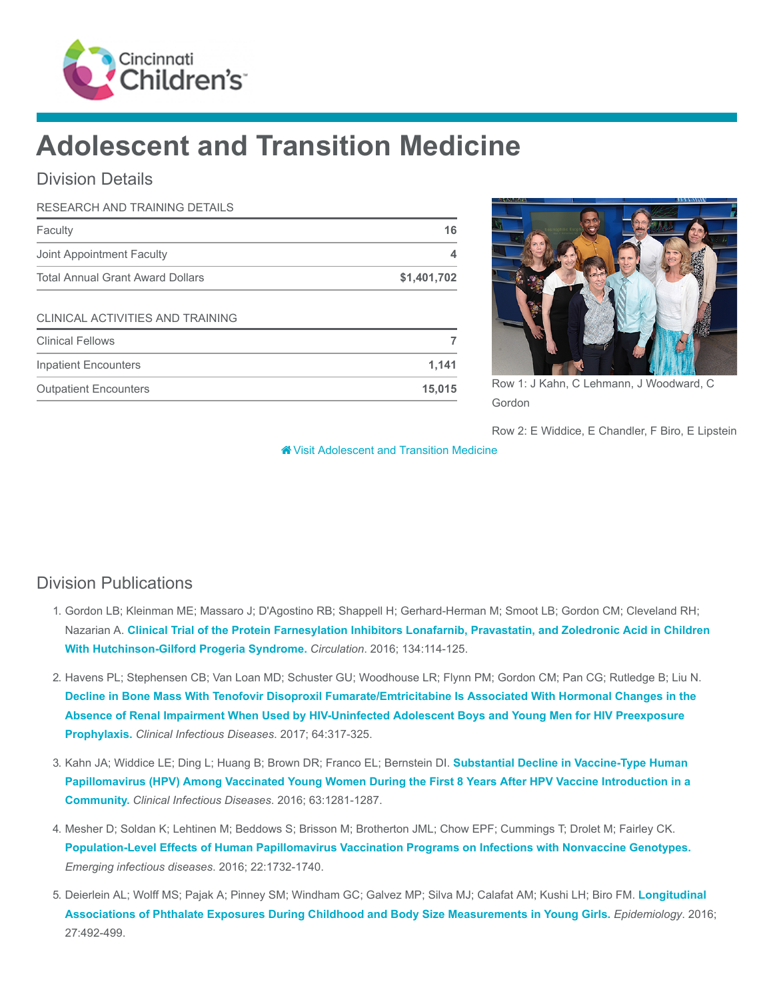

# Adolescent and Transition Medicine

## Division Details

| <b>RESEARCH AND TRAINING DETAILS</b>    |             |
|-----------------------------------------|-------------|
| Faculty                                 | 16          |
| Joint Appointment Faculty               | 4           |
| <b>Total Annual Grant Award Dollars</b> | \$1,401,702 |
| CLINICAL ACTIVITIES AND TRAINING        |             |
| <b>Clinical Fellows</b>                 | 7           |
| Inpatient Encounters                    | 1,141       |
| <b>Outpatient Encounters</b>            | 15,015      |



Row 1: J Kahn, C Lehmann, J Woodward, C Gordon

Row 2: E Widdice, E Chandler, F Biro, E Lipstein

[Visit Adolescent and Transition Medicine](https://www.cincinnatichildrens.org/research/divisions/a/adolescent)

# Division Publications

- 1. Gordon LB; Kleinman ME; Massaro J; D'Agostino RB; Shappell H; Gerhard-Herman M; Smoot LB; Gordon CM; Cleveland RH; Nazarian A. [Clinical Trial of the Protein Farnesylation Inhibitors Lonafarnib, Pravastatin, and Zoledronic Acid in Children](https://www.ncbi.nlm.nih.gov/pubmed/27400896) With Hutchinson-Gilford Progeria Syndrome. Circulation. 2016; 134:114-125.
- 2. Havens PL; Stephensen CB; Van Loan MD; Schuster GU; Woodhouse LR; Flynn PM; Gordon CM; Pan CG; Rutledge B; Liu N. [Decline in Bone Mass With Tenofovir Disoproxil Fumarate/Emtricitabine Is Associated With Hormonal Changes in the](https://www.ncbi.nlm.nih.gov/pubmed/28013265) Absence of Renal Impairment When Used by HIV-Uninfected Adolescent Boys and Young Men for HIV Preexposure Prophylaxis. Clinical Infectious Diseases. 2017; 64:317-325.
- 3. Kahn JA; Widdice LE; Ding L; Huang B; Brown DR; Franco EL; Bernstein Dl. Substantial Decline in Vaccine-Type Human [Papillomavirus \(HPV\) Among Vaccinated Young Women During the First 8 Years After HPV Vaccine Introduction in a](https://www.ncbi.nlm.nih.gov/pubmed/27655996) Community. Clinical Infectious Diseases. 2016; 63:1281-1287.
- 4. Mesher D; Soldan K; Lehtinen M; Beddows S; Brisson M; Brotherton JML; Chow EPF; Cummings T; Drolet M; Fairley CK. [Population-Level Effects of Human Papillomavirus Vaccination Programs on Infections with Nonvaccine Genotypes.](https://www.ncbi.nlm.nih.gov/pubmed/27648688) Emerging infectious diseases. 2016; 22:1732-1740.
- 5. [Deierlein AL; Wolff MS; Pajak A; Pinney SM; Windham GC; Galvez MP; Silva MJ; Calafat AM; Kushi LH; Biro FM.](https://www.ncbi.nlm.nih.gov/pubmed/27031039) Longitudinal Associations of Phthalate Exposures During Childhood and Body Size Measurements in Young Girls. Epidemiology. 2016; 27:492-499.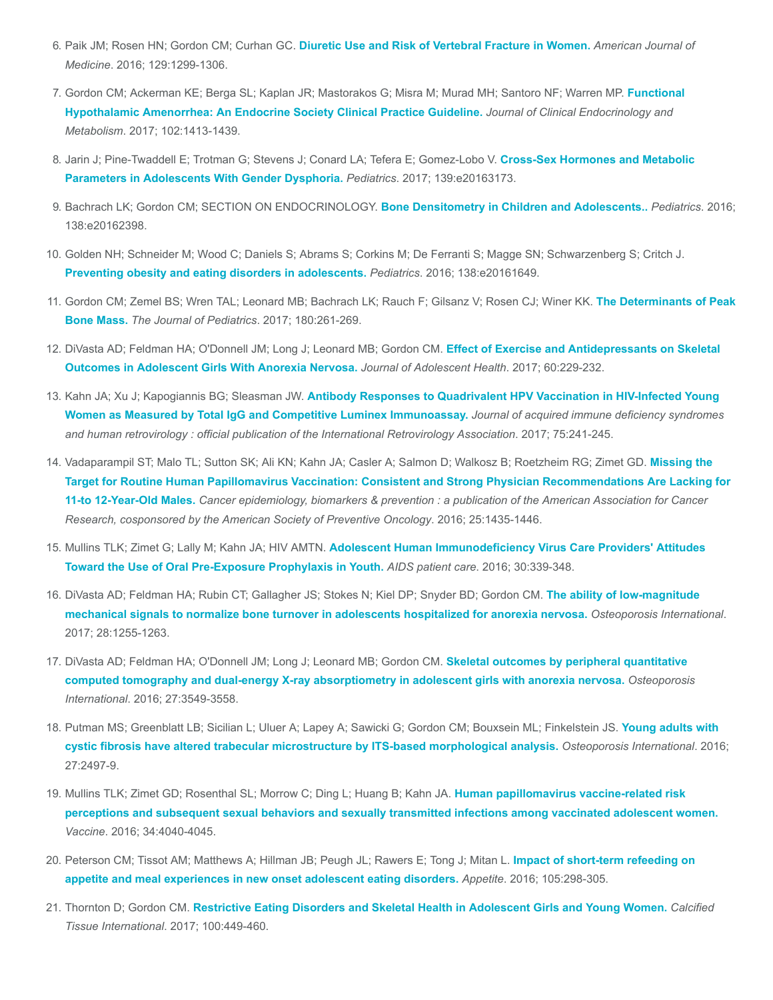- 6. Paik JM; Rosen HN; Gordon CM; Curhan GC. [Diuretic Use and Risk of Vertebral Fracture in Women.](https://www.ncbi.nlm.nih.gov/pubmed/27542612) American Journal of Medicine. 2016; 129:1299-1306.
- 7. [Gordon CM; Ackerman KE; Berga SL; Kaplan JR; Mastorakos G; Misra M; Murad MH; Santoro NF; Warren MP.](https://www.ncbi.nlm.nih.gov/pubmed/28368518) Functional Hypothalamic Amenorrhea: An Endocrine Society Clinical Practice Guideline. Journal of Clinical Endocrinology and Metabolism. 2017; 102:1413-1439.
- 8. [Jarin J; Pine-Twaddell E; Trotman G; Stevens J; Conard LA; Tefera E; Gomez-Lobo V.](https://www.ncbi.nlm.nih.gov/pubmed/28557738) Cross-Sex Hormones and Metabolic Parameters in Adolescents With Gender Dysphoria. Pediatrics. 2017; 139:e20163173.
- 9. Bachrach LK; Gordon CM; SECTION ON ENDOCRINOLOGY. [Bone Densitometry in Children and Adolescents..](https://www.ncbi.nlm.nih.gov/pubmed/27669735) Pediatrics. 2016; 138:e20162398.
- 10. Golden NH; Schneider M; Wood C; Daniels S; Abrams S; Corkins M; De Ferranti S; Magge SN; Schwarzenberg S; Critch J. [Preventing obesity and eating disorders in adolescents.](https://www.ncbi.nlm.nih.gov/pubmed/27550979) Pediatrics. 2016; 138:e20161649.
- 11. [Gordon CM; Zemel BS; Wren TAL; Leonard MB; Bachrach LK; Rauch F; Gilsanz V; Rosen CJ; Winer KK.](https://www.ncbi.nlm.nih.gov/pubmed/27816219) The Determinants of Peak Bone Mass. The Journal of Pediatrics. 2017; 180:261-269.
- 12. [DiVasta AD; Feldman HA; O'Donnell JM; Long J; Leonard MB; Gordon CM.](https://www.ncbi.nlm.nih.gov/pubmed/27939877) Effect of Exercise and Antidepressants on Skeletal Outcomes in Adolescent Girls With Anorexia Nervosa. Journal of Adolescent Health. 2017; 60:229-232.
- 13. Kahn JA; Xu J; Kapogiannis BG; Sleasman JW. [Antibody Responses to Quadrivalent HPV Vaccination in HIV-Infected Young](https://www.ncbi.nlm.nih.gov/pubmed/28291048) Women as Measured by Total IgG and Competitive Luminex Immunoassay. Journal of acquired immune deficiency syndromes and human retrovirology : official publication of the International Retrovirology Association. 2017; 75:241-245.
- 14. [Vadaparampil ST; Malo TL; Sutton SK; Ali KN; Kahn JA; Casler A; Salmon D; Walkosz B; Roetzheim RG; Zimet GD.](https://www.ncbi.nlm.nih.gov/pubmed/27486020) Missing the Target for Routine Human Papillomavirus Vaccination: Consistent and Strong Physician Recommendations Are Lacking for 11-to 12-Year-Old Males. Cancer epidemiology, biomarkers & prevention : a publication of the American Association for Cancer Research, cosponsored by the American Society of Preventive Oncology. 2016; 25:1435-1446.
- 15. Mullins TLK; Zimet G; Lally M; Kahn JA; HIV AMTN. [Adolescent Human Immunodeficiency Virus Care Providers' Attitudes](https://www.ncbi.nlm.nih.gov/pubmed/27410497) Toward the Use of Oral Pre-Exposure Prophylaxis in Youth. AIDS patient care. 2016; 30:339-348.
- 16. [DiVasta AD; Feldman HA; Rubin CT; Gallagher JS; Stokes N; Kiel DP; Snyder BD; Gordon CM.](https://www.ncbi.nlm.nih.gov/pubmed/27909781) The ability of low-magnitude mechanical signals to normalize bone turnover in adolescents hospitalized for anorexia nervosa. Osteoporosis International. 2017; 28:1255-1263.
- 17. DiVasta AD; Feldman HA; O'Donnell JM; Long J; Leonard MB; Gordon CM. Skeletal outcomes by peripheral quantitative [computed tomography and dual-energy X-ray absorptiometry in adolescent girls with anorexia nervosa.](https://www.ncbi.nlm.nih.gov/pubmed/27392467) Osteoporosis International. 2016; 27:3549-3558.
- 18. [Putman MS; Greenblatt LB; Sicilian L; Uluer A; Lapey A; Sawicki G; Gordon CM; Bouxsein ML; Finkelstein JS.](https://www.ncbi.nlm.nih.gov/pubmed/26952010) Young adults with cystic fibrosis have altered trabecular microstructure by ITS-based morphological analysis. Osteoporosis International. 2016; 27:2497-9.
- 19. Mullins TLK; Zimet GD; Rosenthal SL; Morrow C; Ding L; Huang B; Kahn JA. Human papillomavirus vaccine-related risk [perceptions and subsequent sexual behaviors and sexually transmitted infections among vaccinated adolescent women.](https://www.ncbi.nlm.nih.gov/pubmed/27291086) Vaccine. 2016; 34:4040-4045.
- 20. [Peterson CM; Tissot AM; Matthews A; Hillman JB; Peugh JL; Rawers E; Tong J; Mitan L.](https://www.ncbi.nlm.nih.gov/pubmed/27263068) Impact of short-term refeeding on appetite and meal experiences in new onset adolescent eating disorders. Appetite. 2016; 105:298-305.
- 21. Thornton D; Gordon CM. [Restrictive Eating Disorders and Skeletal Health in Adolescent Girls and Young Women.](https://www.ncbi.nlm.nih.gov/pubmed/27339670) Calcified Tissue International. 2017; 100:449-460.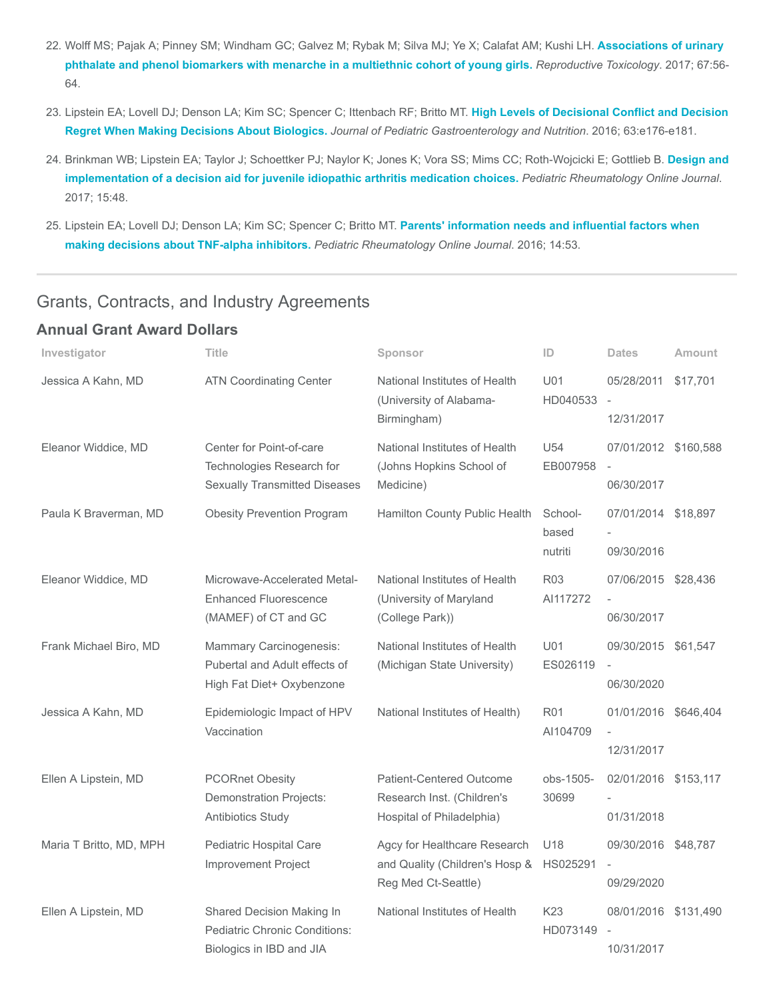- 22. [Wolff MS; Pajak A; Pinney SM; Windham GC; Galvez M; Rybak M; Silva MJ; Ye X; Calafat AM; Kushi LH.](https://www.ncbi.nlm.nih.gov/pubmed/27851993) Associations of urinary phthalate and phenol biomarkers with menarche in a multiethnic cohort of young girls. Reproductive Toxicology. 2017; 67:56- 64.
- 23. [Lipstein EA; Lovell DJ; Denson LA; Kim SC; Spencer C; Ittenbach RF; Britto MT.](https://www.ncbi.nlm.nih.gov/pubmed/27749390) High Levels of Decisional Conflict and Decision Regret When Making Decisions About Biologics. Journal of Pediatric Gastroenterology and Nutrition. 2016; 63:e176-e181.
- 24. [Brinkman WB; Lipstein EA; Taylor J; Schoettker PJ; Naylor K; Jones K; Vora SS; Mims CC; Roth-Wojcicki E; Gottlieb B.](https://www.ncbi.nlm.nih.gov/pubmed/28583183) Design and implementation of a decision aid for juvenile idiopathic arthritis medication choices. Pediatric Rheumatology Online Journal. 2017; 15:48.
- 25. [Lipstein EA; Lovell DJ; Denson LA; Kim SC; Spencer C; Britto MT.](https://www.ncbi.nlm.nih.gov/pubmed/27641835) Parents' information needs and influential factors when making decisions about TNF-alpha inhibitors. Pediatric Rheumatology Online Journal. 2016; 14:53.

## Grants, Contracts, and Industry Agreements

#### Annual Grant Award Dollars

| Investigator            | Title                                                                                         | Sponsor                                                                               | ID                          | <b>Dates</b>                       | Amount   |
|-------------------------|-----------------------------------------------------------------------------------------------|---------------------------------------------------------------------------------------|-----------------------------|------------------------------------|----------|
| Jessica A Kahn, MD      | <b>ATN Coordinating Center</b>                                                                | National Institutes of Health<br>(University of Alabama-<br>Birmingham)               | U01<br>HD040533             | 05/28/2011<br>12/31/2017           | \$17,701 |
| Eleanor Widdice, MD     | Center for Point-of-care<br>Technologies Research for<br><b>Sexually Transmitted Diseases</b> | National Institutes of Health<br>(Johns Hopkins School of<br>Medicine)                | U54<br>EB007958             | 07/01/2012 \$160,588<br>06/30/2017 |          |
| Paula K Braverman, MD   | <b>Obesity Prevention Program</b>                                                             | Hamilton County Public Health                                                         | School-<br>based<br>nutriti | 07/01/2014 \$18,897<br>09/30/2016  |          |
| Eleanor Widdice, MD     | Microwave-Accelerated Metal-<br><b>Enhanced Fluorescence</b><br>(MAMEF) of CT and GC          | National Institutes of Health<br>(University of Maryland<br>(College Park))           | <b>R03</b><br>AI117272      | 07/06/2015 \$28,436<br>06/30/2017  |          |
| Frank Michael Biro, MD  | Mammary Carcinogenesis:<br>Pubertal and Adult effects of<br>High Fat Diet+ Oxybenzone         | National Institutes of Health<br>(Michigan State University)                          | U01<br>ES026119             | 09/30/2015 \$61,547<br>06/30/2020  |          |
| Jessica A Kahn, MD      | Epidemiologic Impact of HPV<br>Vaccination                                                    | National Institutes of Health)                                                        | <b>R01</b><br>AI104709      | 01/01/2016 \$646,404<br>12/31/2017 |          |
| Ellen A Lipstein, MD    | <b>PCORnet Obesity</b><br><b>Demonstration Projects:</b><br>Antibiotics Study                 | Patient-Centered Outcome<br>Research Inst. (Children's<br>Hospital of Philadelphia)   | obs-1505-<br>30699          | 02/01/2016 \$153,117<br>01/31/2018 |          |
| Maria T Britto, MD, MPH | Pediatric Hospital Care<br>Improvement Project                                                | Agcy for Healthcare Research<br>and Quality (Children's Hosp &<br>Reg Med Ct-Seattle) | U18<br>HS025291             | 09/30/2016 \$48,787<br>09/29/2020  |          |
| Ellen A Lipstein, MD    | Shared Decision Making In<br><b>Pediatric Chronic Conditions:</b><br>Biologics in IBD and JIA | National Institutes of Health                                                         | K23<br>HD073149             | 08/01/2016 \$131,490<br>10/31/2017 |          |